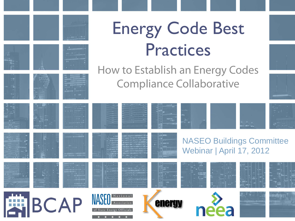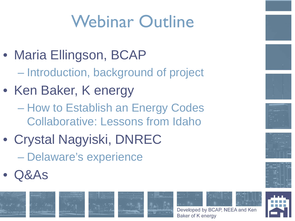# Webinar Outline

- Maria Ellingson, BCAP – Introduction, background of project
- Ken Baker, K energy
	- How to Establish an Energy Codes Collaborative: Lessons from Idaho
- Crystal Nagyiski, DNREC – Delaware's experience
- Q&As





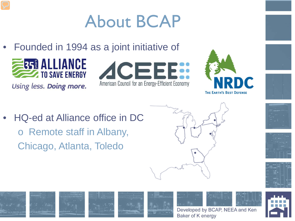## About BCAP

• Founded in 1994 as a joint initiative of

• HQ-ed at Alliance office in DC

o Remote staff in Albany,

Chicago, Atlanta, Toledo



Using less. Doing more.



























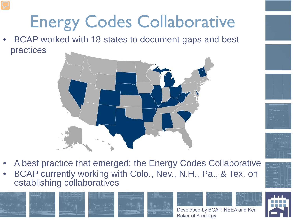# Energy Codes Collaborative

• BCAP worked with 18 states to document gaps and best practices





• BCAP currently working with Colo., Nev., N.H., Pa., & Tex. on establishing collaboratives



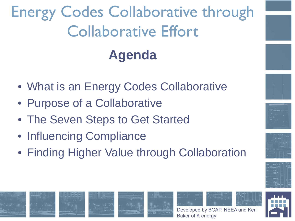## Energy Codes Collaborative through Collaborative Effort **Agenda**

- What is an Energy Codes Collaborative
- Purpose of a Collaborative
- The Seven Steps to Get Started
- Influencing Compliance
- Finding Higher Value through Collaboration













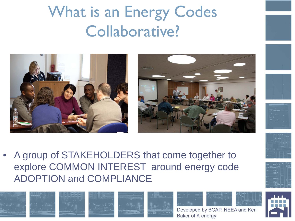What is an Energy Codes Collaborative?











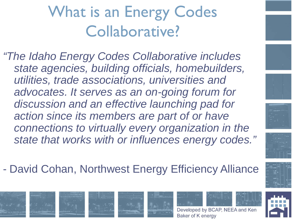#### What is an Energy Codes Collaborative?

*"The Idaho Energy Codes Collaborative includes state agencies, building officials, homebuilders, utilities, trade associations, universities and advocates. It serves as an on-going forum for discussion and an effective launching pad for action since its members are part of or have connections to virtually every organization in the state that works with or influences energy codes."*

- David Cohan, Northwest Energy Efficiency Alliance















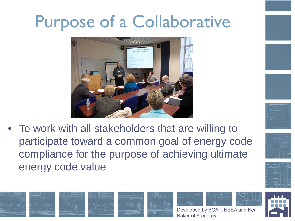## Purpose of a Collaborative



• To work with all stakeholders that are willing to participate toward a common goal of energy code compliance for the purpose of achieving ultimate energy code value















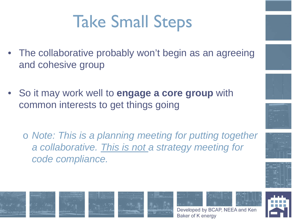## Take Small Steps

- The collaborative probably won't begin as an agreeing and cohesive group
- So it may work well to **engage a core group** with common interests to get things going
	- o *Note: This is a planning meeting for putting together a collaborative. This is not a strategy meeting for code compliance.*



Developed by BCAP, NEEA and Ken

Baker of K energy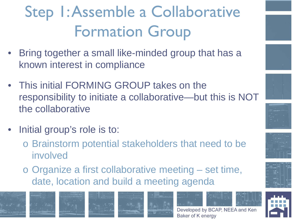### Step 1: Assemble a Collaborative Formation Group

- Bring together a small like-minded group that has a known interest in compliance
- This initial FORMING GROUP takes on the responsibility to initiate a collaborative—but this is NOT the collaborative
- Initial group's role is to:
	- o Brainstorm potential stakeholders that need to be involved
	- o Organize a first collaborative meeting set time, date, location and build a meeting agenda



















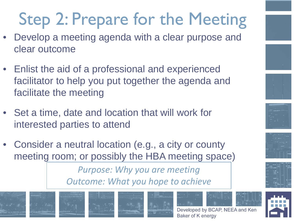# Step 2: Prepare for the Meeting

- Develop a meeting agenda with a clear purpose and clear outcome
- Enlist the aid of a professional and experienced facilitator to help you put together the agenda and facilitate the meeting
- Set a time, date and location that will work for interested parties to attend
- Consider a neutral location (e.g., a city or county meeting room; or possibly the HBA meeting space)

*Purpose: Why you are meeting Outcome: What you hope to achieve*















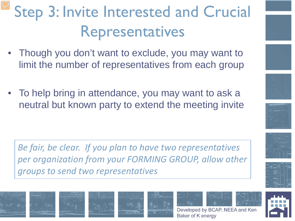### Step 3: Invite Interested and Crucial Representatives

- Though you don't want to exclude, you may want to limit the number of representatives from each group
- To help bring in attendance, you may want to ask a neutral but known party to extend the meeting invite

*Be fair, be clear. If you plan to have two representatives per organization from your FORMING GROUP, allow other groups to send two representatives*















Baker of K energy

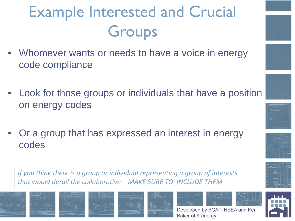## Example Interested and Crucial **Groups**

- Whomever wants or needs to have a voice in energy code compliance
- Look for those groups or individuals that have a position on energy codes
- Or a group that has expressed an interest in energy codes

*If you think there is a group or individual representing a group of interests that would derail the collaborative – MAKE SURE TO INCLUDE THEM*











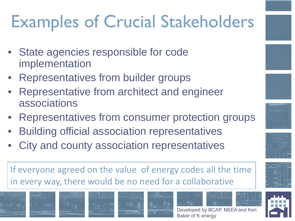# Examples of Crucial Stakeholders

- State agencies responsible for code implementation
- Representatives from builder groups
- Representative from architect and engineer associations
- Representatives from consumer protection groups
- Building official association representatives
- City and county association representatives

If everyone agreed on the value of energy codes all the time in every way, there would be no need for a collaborative





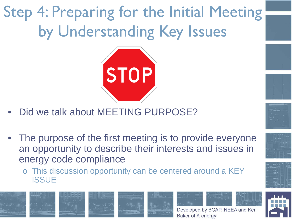Step 4: Preparing for the Initial Meeting by Understanding Key Issues



- Did we talk about MEETING PURPOSE?
- The purpose of the first meeting is to provide everyone an opportunity to describe their interests and issues in energy code compliance
	- o This discussion opportunity can be centered around a KEY **ISSUE**











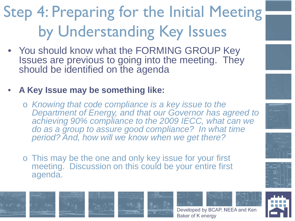## Step 4: Preparing for the Initial Meeting by Understanding Key Issues

- You should know what the FORMING GROUP Key Issues are previous to going into the meeting. They should be identified on the agenda
- **A Key Issue may be something like:** 
	- o *Knowing that code compliance is a key issue to the Department of Energy, and that our Governor has agreed to achieving 90% compliance to the 2009 IECC, what can we do as a group to assure good compliance? In what time period? And, how will we know when we get there?*
	- o This may be the one and only key issue for your first meeting. Discussion on this could be your entire first agenda.









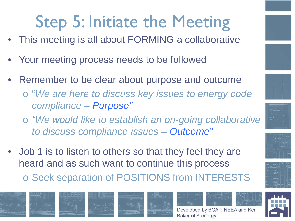# Step 5: Initiate the Meeting

- This meeting is all about FORMING a collaborative
- Your meeting process needs to be followed
- Remember to be clear about purpose and outcome
	- o "*We are here to discuss key issues to energy code compliance – Purpose"*
	- o *"We would like to establish an on-going collaborative to discuss compliance issues – Outcome"*
- Job 1 is to listen to others so that they feel they are heard and as such want to continue this process

o Seek separation of POSITIONS from INTERESTS

















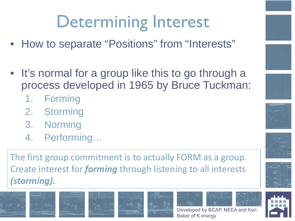## Determining Interest

- How to separate "Positions" from "Interests"
- It's normal for a group like this to go through a process developed in 1965 by Bruce Tuckman:
	- 1. Forming
	- 2. Storming
	- 3. Norming
	- 4. Performing…

The first group commitment is to actually FORM as a group. Create interest for *forming* through listening to all interests *(storming).*











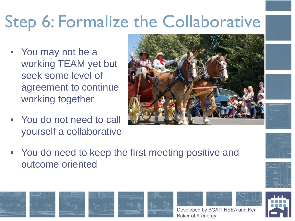## Step 6: Formalize the Collaborative

- You may not be a working TEAM yet but seek some level of agreement to continue working together
- You do not need to call yourself a collaborative











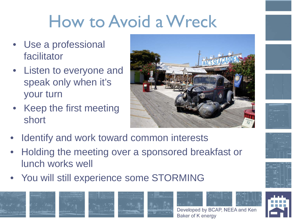## How to Avoid a Wreck

- Use a professional facilitator
- Listen to everyone and speak only when it's your turn
- Keep the first meeting short





- Identify and work toward common interests
- Holding the meeting over a sponsored breakfast or lunch works well
- You will still experience some STORMING

















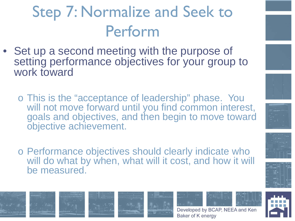### Step 7: Normalize and Seek to Perform

- Set up a second meeting with the purpose of setting performance objectives for your group to work toward
	- o This is the "acceptance of leadership" phase. You will not move forward until you find common interest, goals and objectives, and then begin to move toward objective achievement.
	- o Performance objectives should clearly indicate who will do what by when, what will it cost, and how it will be measured.















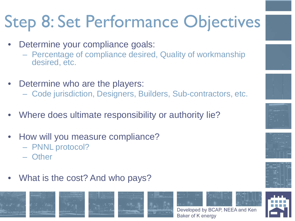# Step 8: Set Performance Objectives

- Determine your compliance goals:
	- Percentage of compliance desired, Quality of workmanship desired, etc.
- Determine who are the players:
	- Code jurisdiction, Designers, Builders, Sub-contractors, etc.
- Where does ultimate responsibility or authority lie?
- How will you measure compliance?
	- PNNL protocol?
	- Other
- What is the cost? And who pays?











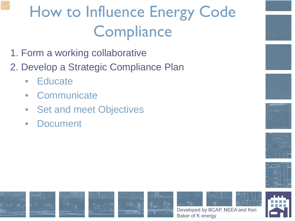#### How to Influence Energy Code **Compliance**

- 1. Form a working collaborative
- 2. Develop a Strategic Compliance Plan
	- Educate
	- **Communicate**
	- Set and meet Objectives
	- **Document**











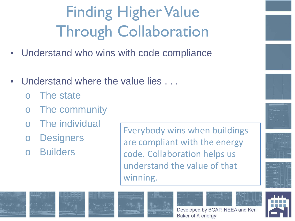## Finding Higher Value Through Collaboration

- Understand who wins with code compliance
- Understand where the value lies . . .
	- The state
	- o The community
	- The individual
	- o Designers
	- **Builders**

Everybody wins when buildings are compliant with the energy code. Collaboration helps us understand the value of that winning.





















Baker of K energy

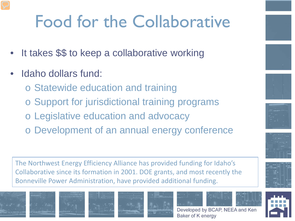## Food for the Collaborative

- It takes \$\$ to keep a collaborative working
- Idaho dollars fund:
	- o Statewide education and training
	- o Support for jurisdictional training programs
	- o Legislative education and advocacy
	- o Development of an annual energy conference

The Northwest Energy Efficiency Alliance has provided funding for Idaho's Collaborative since its formation in 2001. DOE grants, and most recently the Bonneville Power Administration, have provided additional funding.





















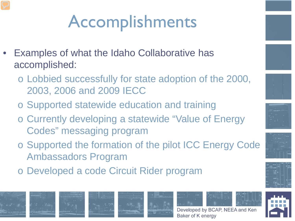# Accomplishments

- Examples of what the Idaho Collaborative has accomplished:
	- o Lobbied successfully for state adoption of the 2000, 2003, 2006 and 2009 IECC
	- o Supported statewide education and training
	- o Currently developing a statewide "Value of Energy Codes" messaging program
	- o Supported the formation of the pilot ICC Energy Code Ambassadors Program
	- o Developed a code Circuit Rider program















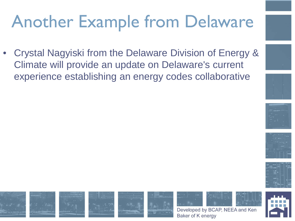## Another Example from Delaware

• Crystal Nagyiski from the Delaware Division of Energy & Climate will provide an update on Delaware's current experience establishing an energy codes collaborative













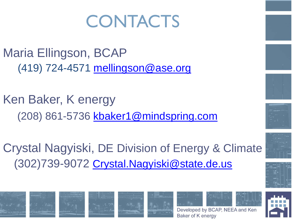## **CONTACTS**

Maria Ellingson, BCAP (419) 724-4571 [mellingson@ase.org](mailto:mellingson@ase.org)

Ken Baker, K energy (208) 861-5736 [kbaker1@mindspring.com](mailto:kbaker1@mindspring.com)

Crystal Nagyiski, DE Division of Energy & Climate (302)739-9072 [Crystal.Nagyiski@state.de.us](mailto:Crystal.Nagyiski@state.de.us)